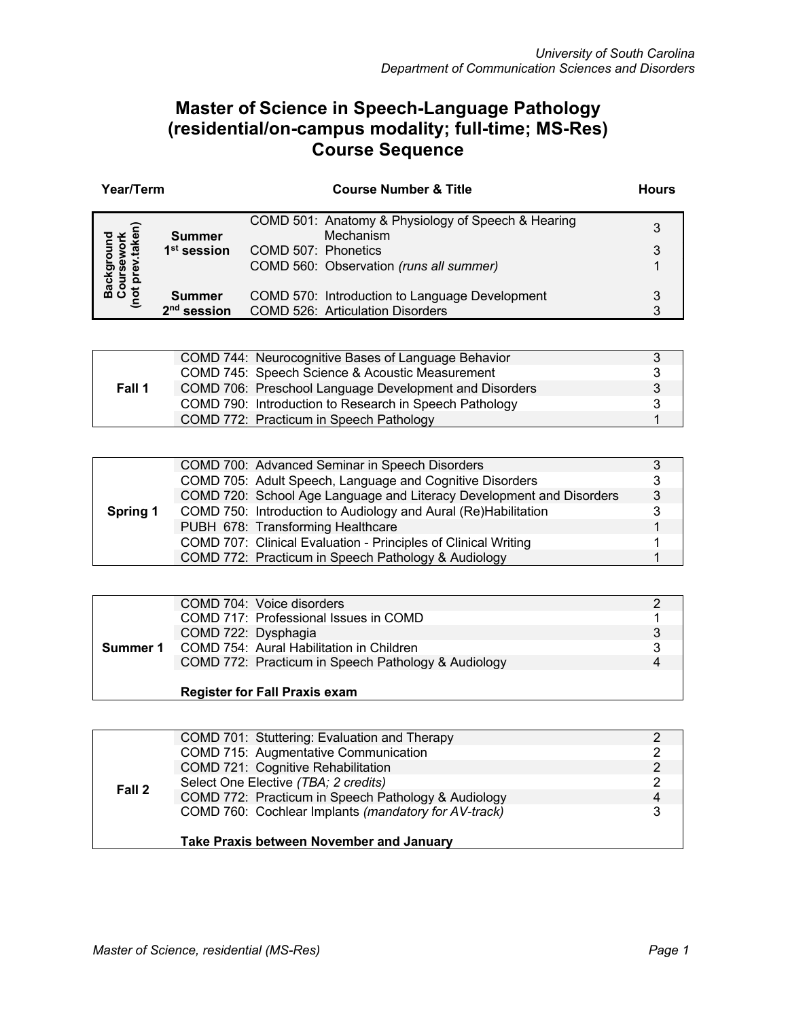## **Master of Science in Speech-Language Pathology (residential/on-campus modality; full-time; MS-Res) Course Sequence**

| Year/Term |                         | <b>Course Number &amp; Title</b>                                | <b>Hours</b> |
|-----------|-------------------------|-----------------------------------------------------------------|--------------|
|           | <b>Summer</b>           | COMD 501: Anatomy & Physiology of Speech & Hearing<br>Mechanism | 3            |
|           | 1 <sup>st</sup> session | COMD 507: Phonetics                                             | 3            |
|           |                         | COMD 560: Observation (runs all summer)                         |              |
|           | <b>Summer</b>           | COMD 570: Introduction to Language Development                  |              |
|           | $2nd$ session           | <b>COMD 526: Articulation Disorders</b>                         | З            |

|        | COMD 744: Neurocognitive Bases of Language Behavior    | 3 |
|--------|--------------------------------------------------------|---|
|        | COMD 745: Speech Science & Acoustic Measurement        | 3 |
| Fall 1 | COMD 706: Preschool Language Development and Disorders | 3 |
|        | COMD 790: Introduction to Research in Speech Pathology | 3 |
|        | COMD 772: Practicum in Speech Pathology                |   |

|          | COMD 700: Advanced Seminar in Speech Disorders                       |   |
|----------|----------------------------------------------------------------------|---|
|          | COMD 705: Adult Speech, Language and Cognitive Disorders             | 3 |
|          | COMD 720: School Age Language and Literacy Development and Disorders | 3 |
| Spring 1 | COMD 750: Introduction to Audiology and Aural (Re)Habilitation       | 3 |
|          | PUBH 678: Transforming Healthcare                                    |   |
|          | COMD 707: Clinical Evaluation - Principles of Clinical Writing       |   |
|          | COMD 772: Practicum in Speech Pathology & Audiology                  |   |

| Summer 1 | COMD 704: Voice disorders                           |   |
|----------|-----------------------------------------------------|---|
|          | COMD 717: Professional Issues in COMD               |   |
|          | COMD 722: Dysphagia                                 | 3 |
|          | COMD 754: Aural Habilitation in Children            | 3 |
|          | COMD 772: Practicum in Speech Pathology & Audiology | 4 |
|          |                                                     |   |
|          | <b>Register for Fall Praxis exam</b>                |   |

|        | COMD 701: Stuttering: Evaluation and Therapy         |                |
|--------|------------------------------------------------------|----------------|
|        | COMD 715: Augmentative Communication                 |                |
| Fall 2 | COMD 721: Cognitive Rehabilitation                   | $\mathcal{P}$  |
|        | Select One Elective (TBA; 2 credits)                 | $\mathcal{P}$  |
|        | COMD 772: Practicum in Speech Pathology & Audiology  | $\overline{4}$ |
|        | COMD 760: Cochlear Implants (mandatory for AV-track) | 3              |
|        |                                                      |                |
|        | <b>Take Praxis between November and January</b>      |                |